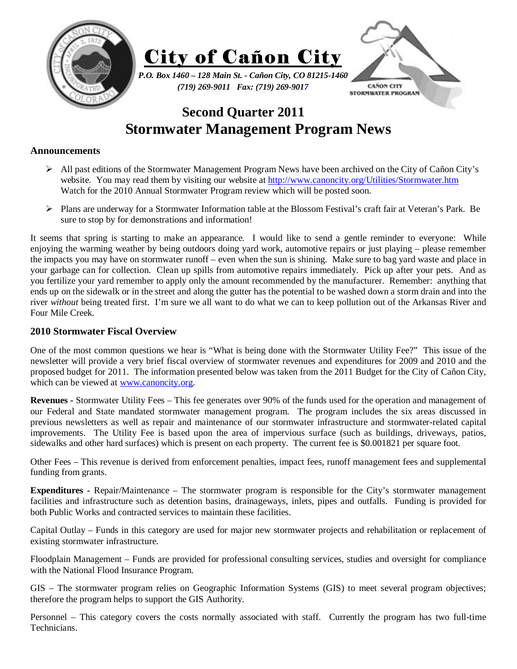

## **Second Quarter 2011 Stormwater Management Program News**

## **Announcements**

- $\triangleright$  All past editions of the Stormwater Management Program News have been archived on the City of Cañon City's website. You may read them by visiting our website at http://www.canoncity.org/Utilities/Stormwater.htm Watch for the 2010 Annual Stormwater Program review which will be posted soon.
- ¾ Plans are underway for a Stormwater Information table at the Blossom Festival's craft fair at Veteran's Park. Be sure to stop by for demonstrations and information!

It seems that spring is starting to make an appearance. I would like to send a gentle reminder to everyone: While enjoying the warming weather by being outdoors doing yard work, automotive repairs or just playing – please remember the impacts you may have on stormwater runoff – even when the sun is shining. Make sure to bag yard waste and place in your garbage can for collection. Clean up spills from automotive repairs immediately. Pick up after your pets. And as you fertilize your yard remember to apply only the amount recommended by the manufacturer. Remember: anything that ends up on the sidewalk or in the street and along the gutter has the potential to be washed down a storm drain and into the river *without* being treated first. I'm sure we all want to do what we can to keep pollution out of the Arkansas River and Four Mile Creek.

## **2010 Stormwater Fiscal Overview**

One of the most common questions we hear is "What is being done with the Stormwater Utility Fee?" This issue of the newsletter will provide a very brief fiscal overview of stormwater revenues and expenditures for 2009 and 2010 and the proposed budget for 2011. The information presented below was taken from the 2011 Budget for the City of Cañon City, which can be viewed at www.canoncity.org.

**Revenues -** Stormwater Utility Fees – This fee generates over 90% of the funds used for the operation and management of our Federal and State mandated stormwater management program. The program includes the six areas discussed in previous newsletters as well as repair and maintenance of our stormwater infrastructure and stormwater-related capital improvements. The Utility Fee is based upon the area of impervious surface (such as buildings, driveways, patios, sidewalks and other hard surfaces) which is present on each property. The current fee is \$0.001821 per square foot.

Other Fees – This revenue is derived from enforcement penalties, impact fees, runoff management fees and supplemental funding from grants.

**Expenditures -** Repair/Maintenance – The stormwater program is responsible for the City's stormwater management facilities and infrastructure such as detention basins, drainageways, inlets, pipes and outfalls. Funding is provided for both Public Works and contracted services to maintain these facilities.

Capital Outlay – Funds in this category are used for major new stormwater projects and rehabilitation or replacement of existing stormwater infrastructure.

Floodplain Management – Funds are provided for professional consulting services, studies and oversight for compliance with the National Flood Insurance Program.

GIS – The stormwater program relies on Geographic Information Systems (GIS) to meet several program objectives; therefore the program helps to support the GIS Authority.

Personnel – This category covers the costs normally associated with staff. Currently the program has two full-time Technicians.